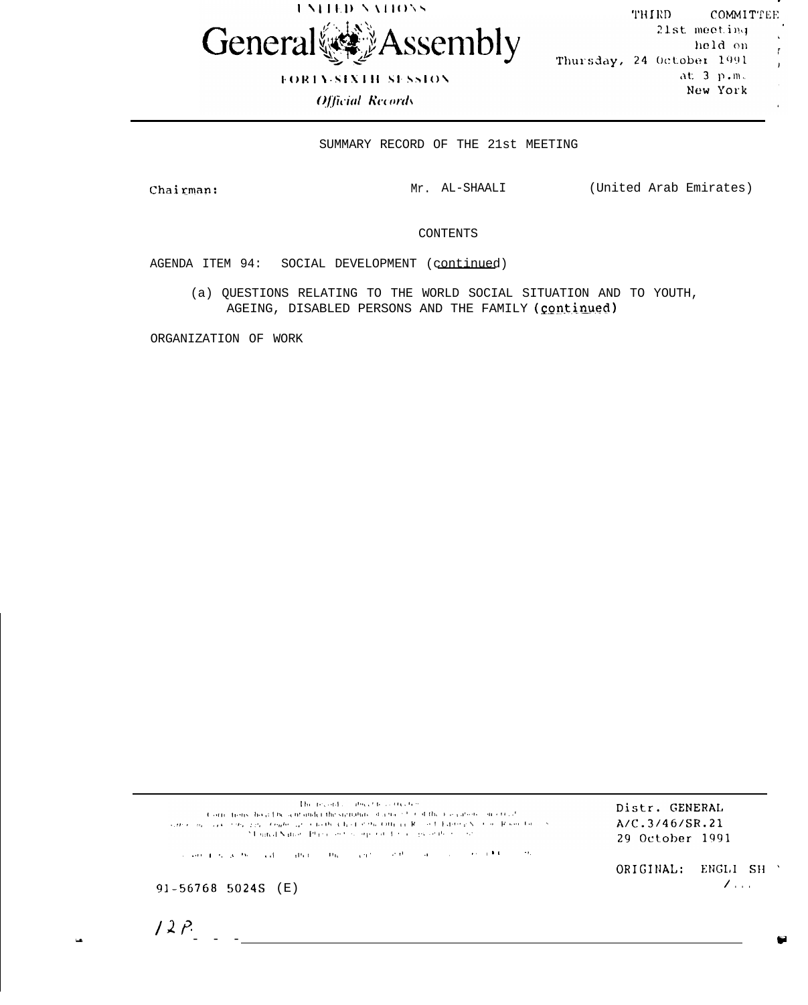

**FORTY-SIXTH SESSION** 

**Official Records** 

THIRD COMMITTEE 21st meeting held on Thursday, 24 October 1991  $at.3 p.m.$ New York

 $\mathbf{r}$ 

 $\mathbf{I}$ 

SUMMARY RECORD OF THE 21st MEETING

Chairman:

Mr. AL-SHAALI (United Arab Emirates)

CONTENTS

AGENDA ITEM 94: SOCIAL DEVELOPMENT (continued)

(a) QUESTIONS RELATING TO THE WORLD SOCIAL SITUATION AND TO YOUTH, AGEING, DISABLED PERSONS AND THE FAMILY (continued)

ORGANIZATION OF WORK

The record combination treated (Corrections) hold Decant under the signaliate of a man bund the Conjunction concert of sures and case the president of substitute that state output R and Editor's Santa Room for 24 until Nation. Plane and is organized as a sign of the most

Distr. GENERAL A/C.3/46/SR.21 29 October 1991

, . , and the second control of the set of the second control of  $\theta$  is an analysis of the second control of  $\theta$ 

ORIGINAL: ENGLI SH '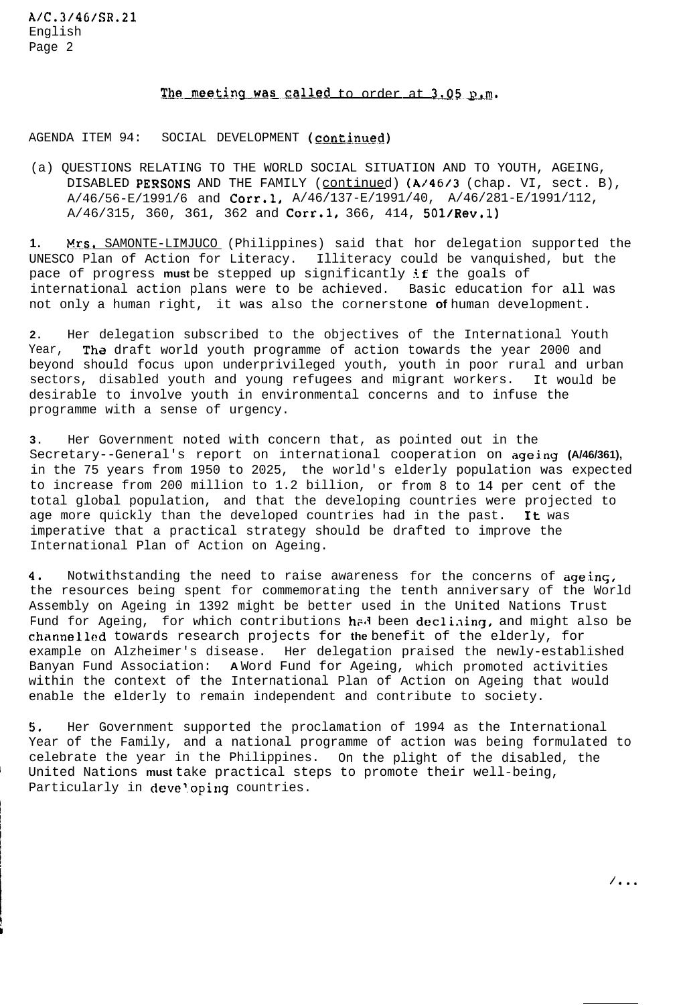# The meeting was called to order at 3.05 p.m.

AGENDA ITEM 94: SOCIAL DEVELOPMENT (continued)

(a) QUESTIONS RELATING TO THE WORLD SOCIAL SITUATION AND TO YOUTH, AGEING, DISABLED PERSONS AND THE FAMILY (continued) (A/46/3 (chap. VI, sect. B),  $A/46/56-E/1991/6$  and  $Corr.1, A/46/137-E/1991/40, A/46/281-E/1991/112,$  $A/46/315$ , 360, 361, 362 and Corr.1, 366, 414, 501/Rev.1)

1. Mrs. SAMONTE-LIMJUCO (Philippines) said that hor delegation supported the UNESCO Plan of Action for Literacy. Illiteracy could be vanquished, but the pace of progress **must** be stepped up significantly if the goals of international action plans were to be achieved. Basic education for all was not only a human right, it was also the cornerstone **of** human development.

**2.** Her delegation subscribed to the objectives of the International Youth Year, The draft world youth programme of action towards the year 2000 and beyond should focus upon underprivileged youth, youth in poor rural and urban sectors, disabled youth and young refugees and migrant workers. It would be desirable to involve youth in environmental concerns and to infuse the programme with a sense of urgency.

**3 .** Her Government noted with concern that, as pointed out in the Secretary--General's report on international cooperation on ageing **(A/46/361),** in the 75 years from 1950 to 2025, the world's elderly population was expected to increase from 200 million to 1.2 billion, or from 8 to 14 per cent of the total global population, and that the developing countries were projected to age more quickly than the developed countries had in the past. It was imperative that a practical strategy should be drafted to improve the International Plan of Action on Ageing.

**4,** Notwithstanding the need to raise awareness for the concerns of ageing, the resources being spent for commemorating the tenth anniversary of the World Assembly on Ageing in 1392 might be better used in the United Nations Trust Fund for Ageing, for which contributions had been declining, and might also be channellcd towards research projects for **the** benefit of the elderly, for example on Alzheimer's disease. Her delegation praised the newly-established Banyan Fund Association: **A** Word Fund for Ageing, which promoted activities within the context of the International Plan of Action on Ageing that would enable the elderly to remain independent and contribute to society.

**5,** Her Government supported the proclamation of 1994 as the International Year of the Family, and a national programme of action was being formulated to celebrate the year in the Philippines. On the plight of the disabled, the United Nations must take practical steps to promote their well-being, Particularly in developing countries.

/ . . .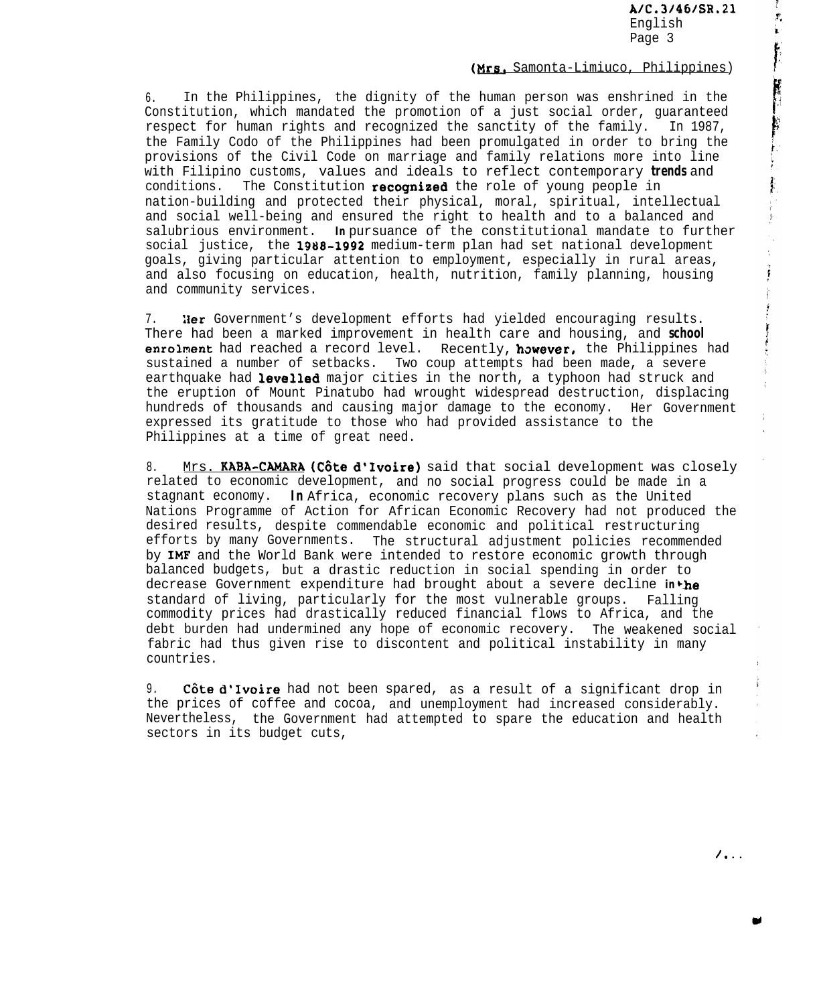A1C.31461SR.21 English Page 3

È

## (Mrs. Samonta-Limiuco, Philippines)

6. In the Philippines, the dignity of the human person was enshrined in the Constitution, which mandated the promotion of a just social order, guaranteed respect for human rights and recognized the sanctity of the family. In 1987, the Family Codo of the Philippines had been promulgated in order to bring the provisions of the Civil Code on marriage and family relations more into line with Filipino customs, values and ideals to reflect contemporary **trends** and conditions. The Constitution recognized the role of young people in nation-building and protected their physical, moral, spiritual, intellectual and social well-being and ensured the right to health and to a balanced and salubrious environment. *In* pursuance of the constitutional mandate to further social justice, the 1988-1992 medium-term plan had set national development goals, giving particular attention to employment, especially in rural areas, and also focusing on education, health, nutrition, family planning, housing and community services.

7. Her Government's development efforts had yielded encouraging results. There had been a marked improvement in health care and housing, and **school** enrolment had reached a record level. Recently, however, the Philippines had sustained a number of setbacks. Two coup attempts had been made, a severe earthquake had levelled major cities in the north, a typhoon had struck and the eruption of Mount Pinatubo had wrought widespread destruction, displacing hundreds of thousands and causing major damage to the economy. Her Government expressed its gratitude to those who had provided assistance to the Philippines at a time of great need.

8. Mrs. KABA-CAMARA (Côte d'Ivoire) said that social development was closely related to economic development, and no social progress could be made in a stagnant economy. **In** Africa, economic recovery plans such as the United Nations Programme of Action for African Economic Recovery had not produced the desired results, despite commendable economic and political restructuring efforts by many Governments. The structural adjustment policies recommended by IMF and the World Bank were intended to restore economic growth through balanced budgets, but a drastic reduction in social spending in order to decrease Government expenditure had brought about a severe decline *in*<sup>the</sup> standard of living, particularly for the most vulnerable groups. Falling commodity prices had drastically reduced financial flows to Africa, and the debt burden had undermined any hope of economic recovery. The weakened social fabric had thus given rise to discontent and political instability in many countries.

9. Côte d'Ivoire had not been spared, as a result of a significant drop in the prices of coffee and cocoa, and unemployment had increased considerably. Nevertheless, the Government had attempted to spare the education and health sectors in its budget cuts,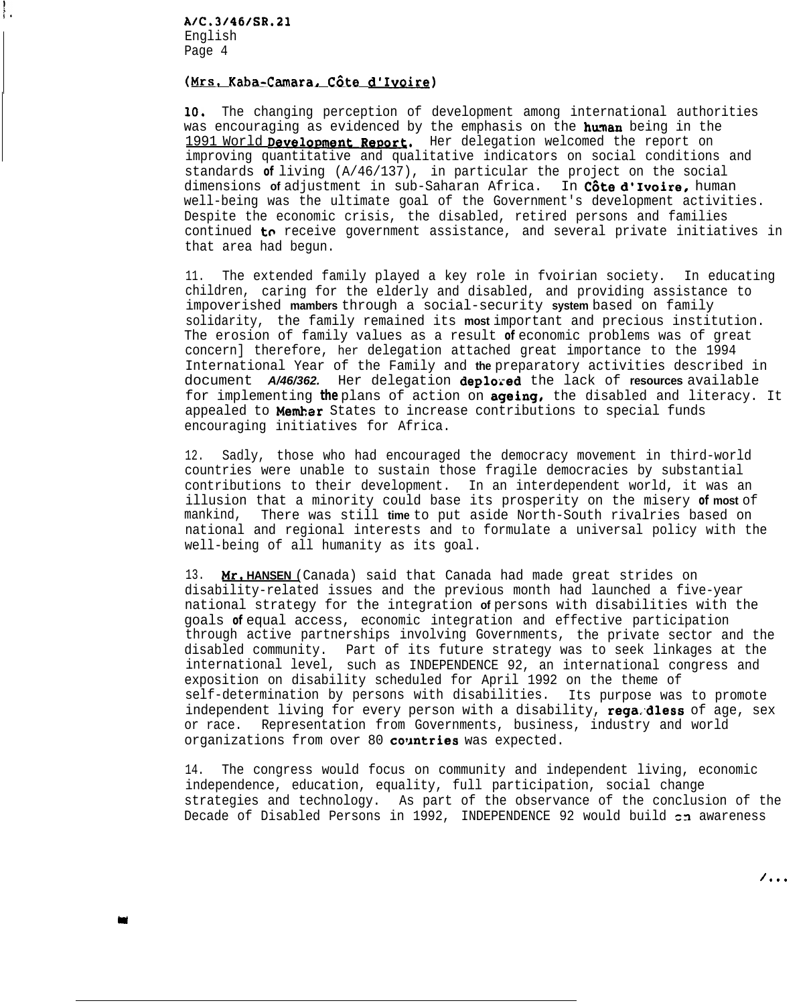# (Mrs. Kaba-Camara, Côte d'Ivoire)

10, The changing perception of development among international authorities was encouraging as evidenced by the emphasis on the human being in the 1991 World Development Report. Her delegation welcomed the report on improving quantitative and qualitative indicators on social conditions and standards **of** living (A/46/137), in particular the project on the social dimensions **of** adjustment in sub-Saharan Africa. In C6te d'Ivoire, human well-being was the ultimate goal of the Government's development activities. Despite the economic crisis, the disabled, retired persons and families continued to receive government assistance, and several private initiatives in that area had begun.

11. The extended family played a key role in fvoirian society. In educating children, caring for the elderly and disabled, and providing assistance to impoverished **mambers** through a social-security **system** based on family solidarity, the family remained its **most** important and precious institution. The erosion of family values as a result **of** economic problems was of great concern] therefore, her delegation attached great importance to the 1994 International Year of the Family and **the** preparatory activities described in document *A/46/362.* Her delegation deplored the lack of **resources** available for implementing **the** plans of action on ageing, the disabled and literacy. It appealed to **Member** States to increase contributions to special funds encouraging initiatives for Africa.

12. Sadly, those who had encouraged the democracy movement in third-world countries were unable to sustain those fragile democracies by substantial contributions to their development. In an interdependent world, it was an illusion that a minority could base its prosperity on the misery **of most** of mankind, There was still **time** to put aside North-South rivalries based on national and regional interests and to formulate a universal policy with the well-being of all humanity as its goal.

13. *Mr.* **HANSEN** (Canada) said that Canada had made great strides on disability-related issues and the previous month had launched a five-year national strategy for the integration **of** persons with disabilities with the goals **of** equal access, economic integration and effective participation through active partnerships involving Governments, the private sector and the disabled community. Part of its future strategy was to seek linkages at the international level, such as INDEPENDENCE 92, an international congress and exposition on disability scheduled for April 1992 on the theme of self-determination by persons with disabilities. Its purpose was to promote independent living for every person with a disability, rega.dless of age, sex or race. Representation from Governments, business, industry and world organizations from over 80 countries was expected.

14. The congress would focus on community and independent living, economic independence, education, equality, full participation, social change strategies and technology. As part of the observance of the conclusion of the Decade of Disabled Persons in 1992, INDEPENDENCE 92 would build  $c$ n awareness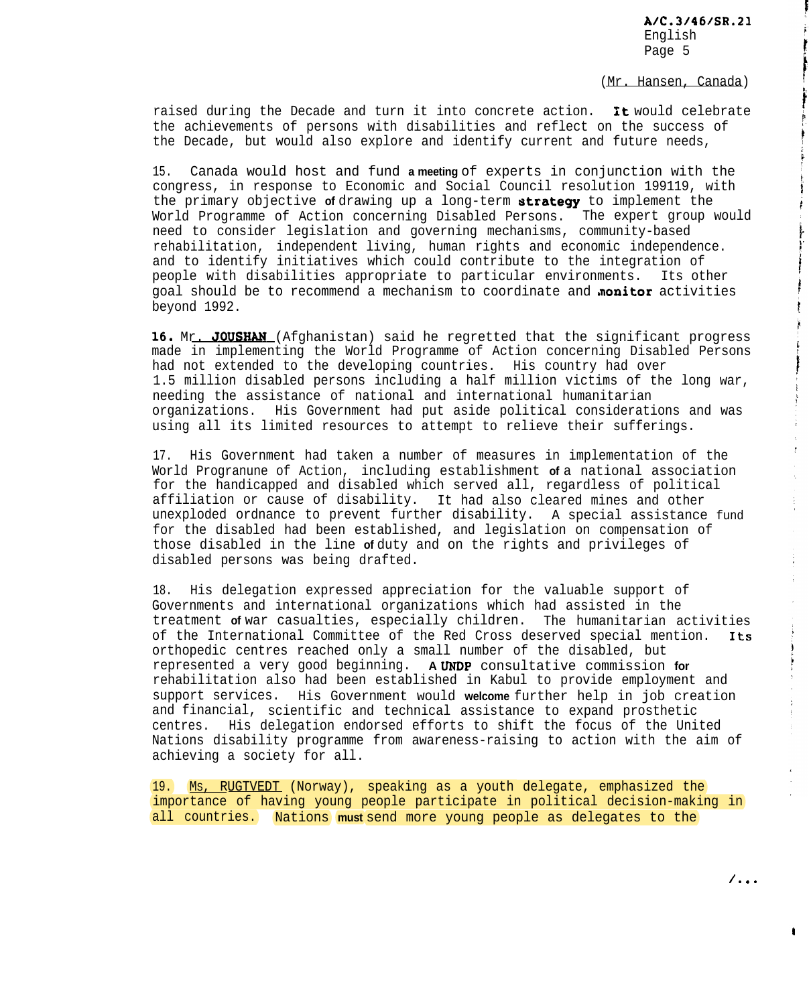(Mr. Hansen, Canada)

raised during the Decade and turn it into concrete action. **it** would celebrate the achievements of persons with disabilities and reflect on the success of the Decade, but would also explore and identify current and future needs,

15. Canada would host and fund **a meeting** of experts in conjunction with the congress, in response to Economic and Social Council resolution 199119, with the primary objective of drawing up a long-term strategy to implement the World Programme of Action concerning Disabled Persons. The expert group would need to consider legislation and governing mechanisms, community-based rehabilitation, independent living, human rights and economic independence. and to identify initiatives which could contribute to the integration of people with disabilities appropriate to particular environments. Its other goal should be to recommend a mechanism to coordinate and **monitor** activities beyond 1992.

16. Mr. JOUSHAN (Afghanistan) said he regretted that the significant progress made in implementing the World Programme of Action concerning Disabled Persons had not extended to the developing countries. His country had over 1.5 million disabled persons including a half million victims of the long war, needing the assistance of national and international humanitarian organizations. His Government had put aside political considerations and was using all its limited resources to attempt to relieve their sufferings.

17. His Government had taken a number of measures in implementation of the World Progranune of Action, including establishment **of** a national association for the handicapped and disabled which served all, regardless of political affiliation or cause of disability. It had also cleared mines and other unexploded ordnance to prevent further disability. A special assistance fund for the disabled had been established, and legislation on compensation of those disabled in the line **of** duty and on the rights and privileges of disabled persons was being drafted.

18. His delegation expressed appreciation for the valuable support of Governments and international organizations which had assisted in the treatment **of** war casualties, especially children. The humanitarian activities of the International Committee of the Red Cross deserved special mention. Its orthopedic centres reached only a small number of the disabled, but represented a very good beginning. **A** URDP consultative commission **for** rehabilitation also had been established in Kabul to provide employment and support services. His Government would **welcome** further help in job creation and financial, scientific and technical assistance to expand prosthetic centres. His delegation endorsed efforts to shift the focus of the United Nations disability programme from awareness-raising to action with the aim of achieving a society for all.

19. Ms. RUGTVEDT (Norway), speaking as a youth delegate, emphasized the importance of having young people participate in political decision-making in all countries. Nations **must** send more young people as delegates to the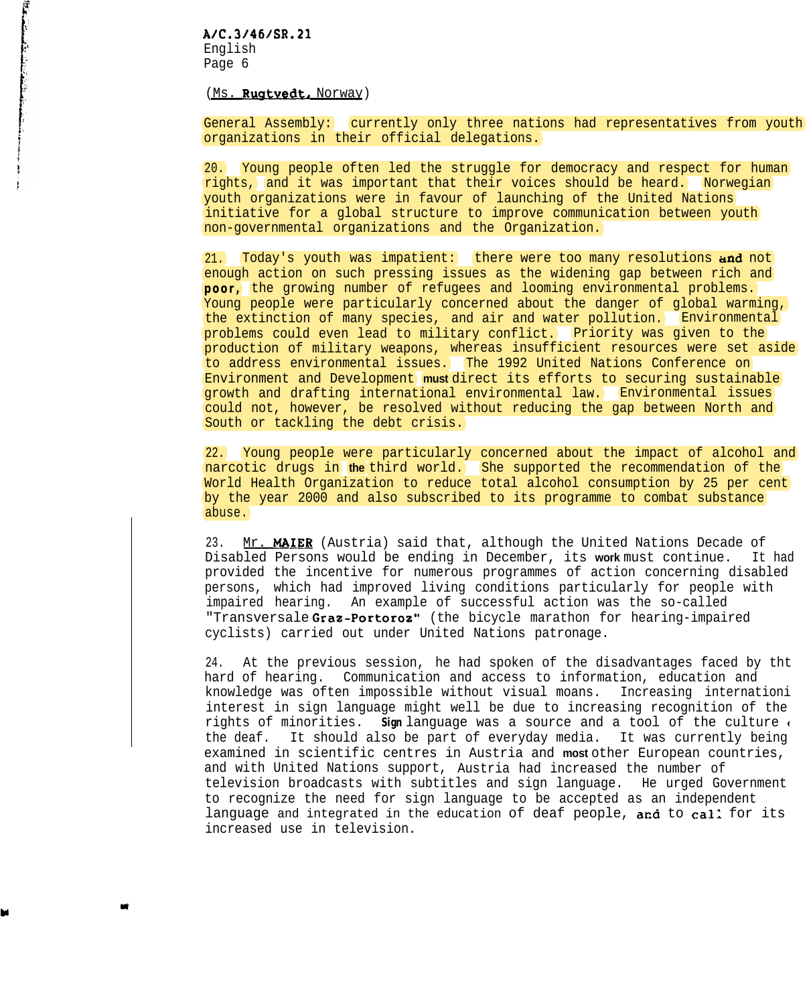## A1C.31461SR.21

English Page 6

#### (Ms. Rugtvedt, Norway)

General Assembly: currently only three nations had representatives from youth organizations in their official delegations.

20. Young people often led the struggle for democracy and respect for human rights, and it was important that their voices should be heard. Norwegian youth organizations were in favour of launching of the United Nations initiative for a global structure to improve communication between youth non-governmental organizations and the Organization.

21. Today's youth was impatient: there were too many resolutions and not enough action on such pressing issues as the widening gap between rich and **poor,** the growing number of refugees and looming environmental problems. Young people were particularly concerned about the danger of global warming, the extinction of many species, and air and water pollution. Environmental problems could even lead to military conflict. Priority was given to the production of military weapons, whereas insufficient resources were set aside to address environmental issues. The 1992 United Nations Conference on Environment and Development **must** direct its efforts to securing sustainable growth and drafting international environmental law. Environmental issues could not, however, be resolved without reducing the gap between North and South or tackling the debt crisis.

22. Young people were particularly concerned about the impact of alcohol and narcotic drugs in **the** third world. She supported the recommendation of the World Health Organization to reduce total alcohol consumption by 25 per cent by the year 2000 and also subscribed to its programme to combat substance abuse.

23. Mr. MAIER (Austria) said that, although the United Nations Decade of Disabled Persons would be ending in December, its **work** must continue. It had provided the incentive for numerous programmes of action concerning disabled persons, which had improved living conditions particularly for people with impaired hearing. An example of successful action was the so-called "Transversale Graz-Portoroz" (the bicycle marathon for hearing-impaired cyclists) carried out under United Nations patronage.

24. At the previous session, he had spoken of the disadvantages faced by tht hard of hearing. Communication and access to information, education and knowledge was often impossible without visual moans. Increasing internationi interest in sign language might well be due to increasing recognition of the rights of minorities. *Sign* language was a source and a tool of the culture ( the deaf. It should also be part of everyday media. It was currently being examined in scientific centres in Austria and **most** other European countries, and with United Nations support, Austria had increased the number of television broadcasts with subtitles and sign language. He urged Government to recognize the need for sign language to be accepted as an independent language and integrated in the education of deaf people, and to call for its increased use in television.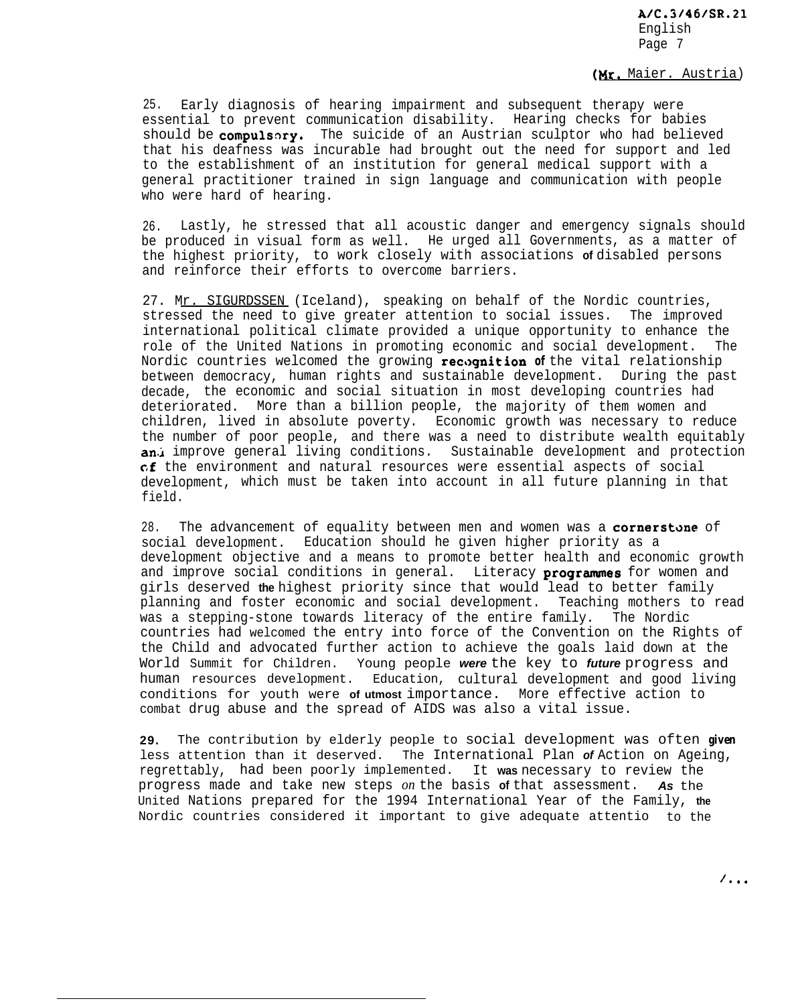## (Hr. Maier. Austria)

25. Early diagnosis of hearing impairment and subsequent therapy were essential to prevent communication disability. Hearing checks for babies should be compulsory. The suicide of an Austrian sculptor who had believed that his deafness was incurable had brought out the need for support and led to the establishment of an institution for general medical support with a general practitioner trained in sign language and communication with people who were hard of hearing.

26. Lastly, he stressed that all acoustic danger and emergency signals should be produced in visual form as well. He urged all Governments, as a matter of the highest priority, to work closely with associations **of** disabled persons and reinforce their efforts to overcome barriers.

27. Mr. SIGURDSSEN (Iceland), speaking on behalf of the Nordic countries, stressed the need to give greater attention to social issues. The improved international political climate provided a unique opportunity to enhance the role of the United Nations in promoting economic and social development. The Nordic countries welcomed the growing recognition of the vital relationship between democracy, human rights and sustainable development. During the past decade, the economic and social situation in most developing countries had deteriorated. More than a billion people, the majority of them women and children, lived in absolute poverty. Economic growth was necessary to reduce the number of poor people, and there was a need to distribute wealth equitably an.i improve general living conditions. Sustainable development and protection cf the environment and natural resources were essential aspects of social development, which must be taken into account in all future planning in that field.

28. The advancement of equality between men and women was a cornerstone of social development. Education should he given higher priority as a development objective and a means to promote better health and economic growth and improve social conditions in general. Literacy programmes for women and girls deserved **the** highest priority since that would lead to better family planning and foster economic and social development. Teaching mothers to read was a stepping-stone towards literacy of the entire family. The Nordic countries had welcomed the entry into force of the Convention on the Rights of the Child and advocated further action to achieve the goals laid down at the World Summit for Children. Young people *were* the key to *future* progress and human resources development. Education, cultural development and good living conditions for youth were **of utmost** importance. More effective action to combat drug abuse and the spread of AIDS was also a vital issue.

**29.** The contribution by elderly people to social development was often *given* less attention than it deserved. The International Plan *of* Action on Ageing, regrettably, had been poorly implemented. It **was** necessary to review the progress made and take new steps *on* the basis **of** that assessment. *As* the United Nations prepared for the 1994 International Year of the Family, **the** Nordic countries considered it important to give adequate attentio to the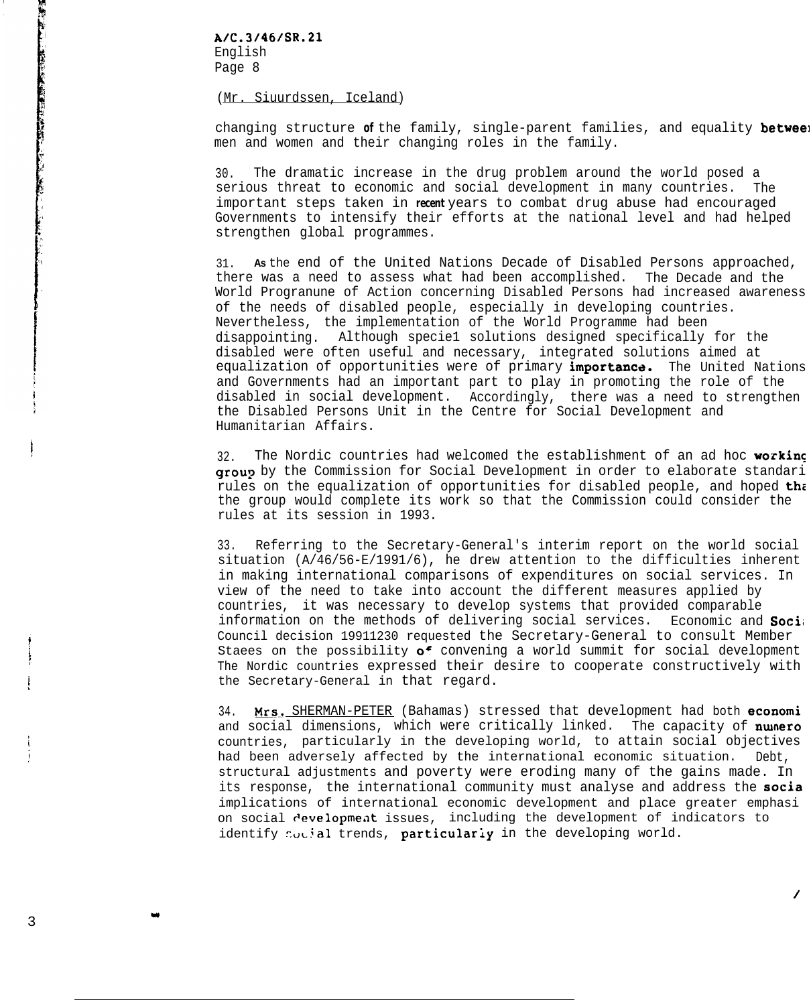#### (Mr. Siuurdssen, Iceland)

changing structure **of** the family, single-parent families, and equality betweel men and women and their changing roles in the family.

30. The dramatic increase in the drug problem around the world posed a serious threat to economic and social development in many countries. The important steps taken in *recent* years to combat drug abuse had encouraged Governments to intensify their efforts at the national level and had helped strengthen global programmes.

31. **As** the end of the United Nations Decade of Disabled Persons approached, there was a need to assess what had been accomplished. The Decade and the World Progranune of Action concerning Disabled Persons had increased awareness of the needs of disabled people, especially in developing countries. Nevertheless, the implementation of the World Programme had been disappointing. Although specie1 solutions designed specifically for the disabled were often useful and necessary, integrated solutions aimed at equalization of opportunities were of primary *importance*. The United Nations and Governments had an important part to play in promoting the role of the disabled in social development. Accordingly, there was a need to strengthen the Disabled Persons Unit in the Centre for Social Development and Humanitarian Affairs.

32. The Nordic countries had welcomed the establishment of an ad hoc working group by the Commission for Social Development in order to elaborate standari rules on the equalization of opportunities for disabled people, and hoped the the group would complete its work so that the Commission could consider the rules at its session in 1993.

33. Referring to the Secretary-General's interim report on the world social situation (A/46/56-E/1991/6), he drew attention to the difficulties inherent in making international comparisons of expenditures on social services. In view of the need to take into account the different measures applied by countries, it was necessary to develop systems that provided comparable information on the methods of delivering social services. Economic and Soci; Council decision 19911230 requested the Secretary-General to consult Member Staees on the possibility  $o^f$  convening a world summit for social development The Nordic countries expressed their desire to cooperate constructively with the Secretary-General in that regard.

34. Mrs. SHERMAN-PETER (Bahamas) stressed that development had both economi and social dimensions, which were critically linked. The capacity of nunero countries, particularly in the developing world, to attain social objectives had been adversely affected by the international economic situation. Debt, structural adjustments and poverty were eroding many of the gains made. In its response, the international community must analyse and address the socia implications of international economic development and place greater emphasi on social development issues, including the development of indicators to identify  $\sim$ .ial trends, particularly in the developing world.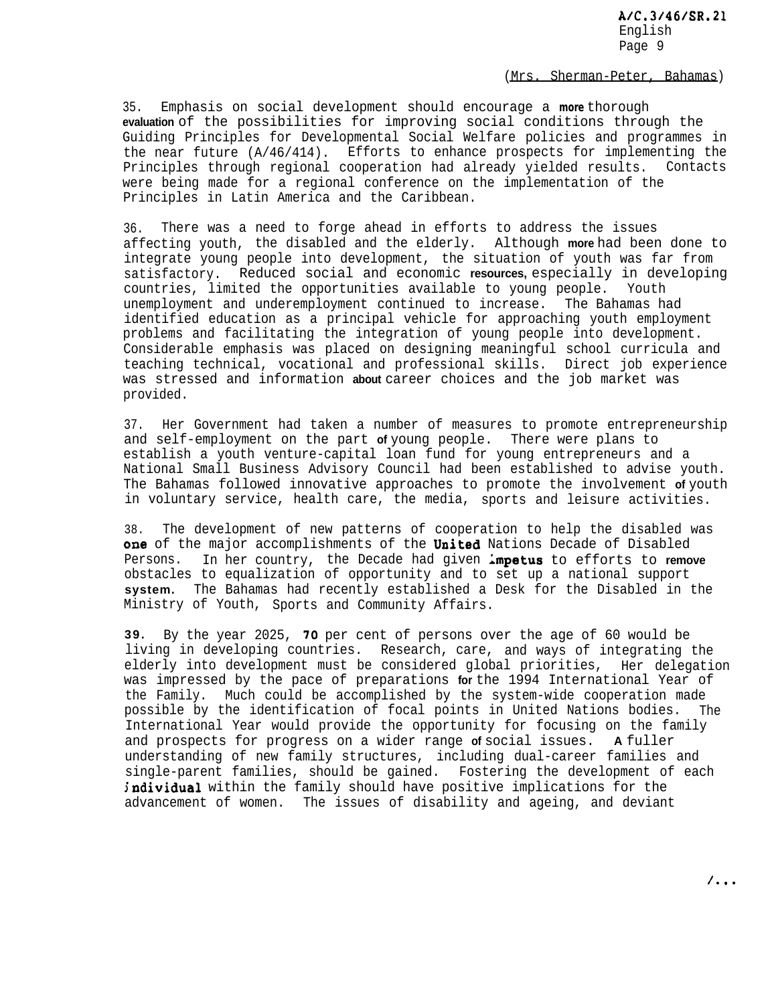#### (Mrs. Sherman-Peter, Bahamas)

35. Emphasis on social development should encourage a *more* thorough **evaluation** of the possibilities for improving social conditions through the Guiding Principles for Developmental Social Welfare policies and programmes in the near future (A/46/414). Efforts to enhance prospects for implementing the Principles through regional cooperation had already yielded results. Contacts were being made for a regional conference on the implementation of the Principles in Latin America and the Caribbean.

36. There was a need to forge ahead in efforts to address the issues affecting youth, the disabled and the elderly. Although **more** had been done to integrate young people into development, the situation of youth was far from satisfactory. Reduced social and economic **resources,** especially in developing countries, limited the opportunities available to young people. Youth unemployment and underemployment continued to increase. The Bahamas had identified education as a principal vehicle for approaching youth employment problems and facilitating the integration of young people into development. Considerable emphasis was placed on designing meaningful school curricula and teaching technical, vocational and professional skills. Direct job experience was stressed and information **about** career choices and the job market was provided.

37. Her Government had taken a number of measures to promote entrepreneurship and self-employment on the part **of** young people. There were plans to establish a youth venture-capital loan fund for young entrepreneurs and a National Small Business Advisory Council had been established to advise youth. The Bahamas followed innovative approaches to promote the involvement **of** youth in voluntary service, health care, the media, sports and leisure activities.

38. The development of new patterns of cooperation to help the disabled was one of the major accomplishments of the United Nations Decade of Disabled Persons. In her country, the Decade had given Lmpetus to efforts to **remove** obstacles to equalization of opportunity and to set up a national support **system.** The Bahamas had recently established a Desk for the Disabled in the Ministry of Youth, Sports and Community Affairs.

**39.** By the year 2025, 70 per cent of persons over the age of 60 would be living in developing countries. Research, care, and ways of integrating the elderly into development must be considered global priorities, Her delegation was impressed by the pace of preparations **for** the 1994 International Year of the Family. Much could be accomplished by the system-wide cooperation made possible by the identification of focal points in United Nations bodies. The International Year would provide the opportunity for focusing on the family and prospects for progress on a wider range **of** social issues. **A** fuller understanding of new family structures, including dual-career families and single-parent families, should be gained. Fostering the development of each individual within the family should have positive implications for the advancement of women. The issues of disability and ageing, and deviant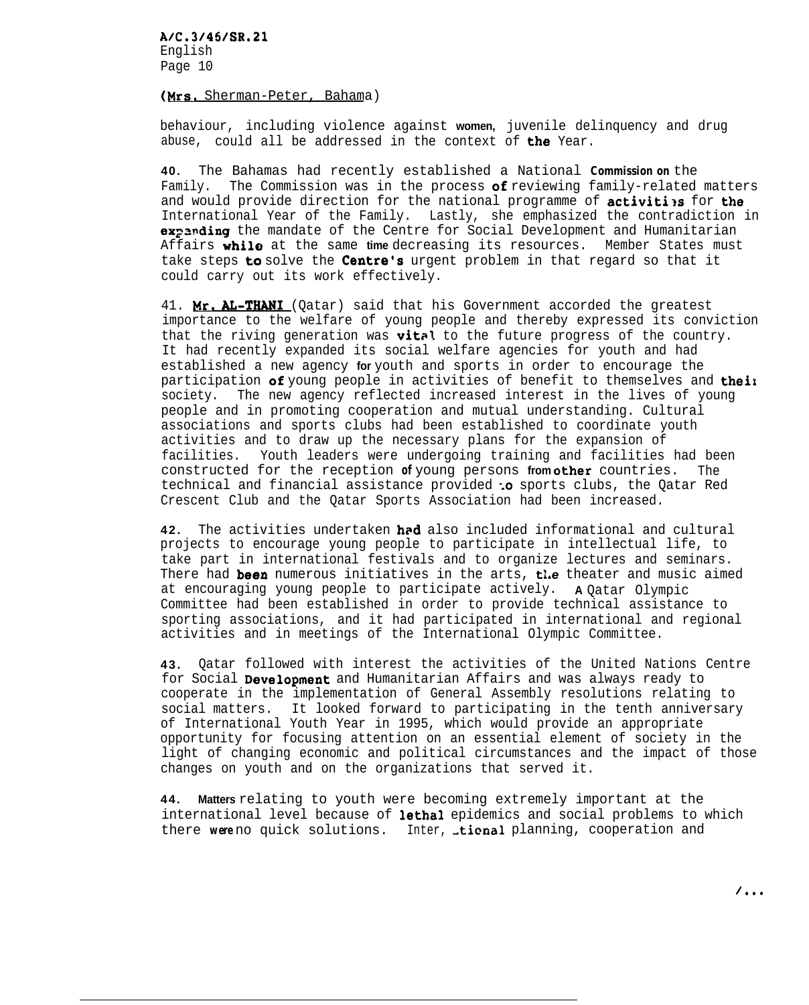## (Mrs. Sherman-Peter, Bahama)

behaviour, including violence against **women,** juvenile delinquency and drug abuse, could all be addressed in the context of  $the$  Year.

**40.** The Bahamas had recently established a National *Commission on* the Family. The Commission was in the process **of** reviewing family-related matters and would provide direction for the national programme of activities for the International Year of the Family. Lastly, she emphasized the contradiction in **expanding** the mandate of the Centre for Social Development and Humanitarian Affairs while at the same **time** decreasing its resources. Member States must take steps **to** solve the Centre's urgent problem in that regard so that it could carry out its work effectively.

41. Mr. AL-THANI (Qatar) said that his Government accorded the greatest importance to the welfare of young people and thereby expressed its conviction that the riving generation was vital to the future progress of the country. It had recently expanded its social welfare agencies for youth and had established a new agency **for** youth and sports in order to encourage the participation of young people in activities of benefit to themselves and their society. The new agency reflected increased interest in the lives of young people and in promoting cooperation and mutual understanding. Cultural associations and sports clubs had been established to coordinate youth activities and to draw up the necessary plans for the expansion of facilities. Youth leaders were undergoing training and facilities had been constructed for the reception of young persons from other countries. The technical and financial assistance provided : o sports clubs, the Qatar Red Crescent Club and the Qatar Sports Association had been increased.

**42.** The activities undertaken bed also included informational and cultural projects to encourage young people to participate in intellectual life, to take part in international festivals and to organize lectures and seminars. There had been numerous initiatives in the arts, the theater and music aimed at encouraging young people to participate actively. **A** Qatar Olympic Committee had been established in order to provide technical assistance to sporting associations, and it had participated in international and regional activities and in meetings of the International Olympic Committee.

**43.** Qatar followed with interest the activities of the United Nations Centre for Social Development and Humanitarian Affairs and was always ready to cooperate in the implementation of General Assembly resolutions relating to social matters. It looked forward to participating in the tenth anniversary of International Youth Year in 1995, which would provide an appropriate opportunity for focusing attention on an essential element of society in the light of changing economic and political circumstances and the impact of those changes on youth and on the organizations that served it.

**44. Matters** relating to youth were becoming extremely important at the international level because of lethal epidemics and social problems to which there were no quick solutions. Inter, **tional** planning, cooperation and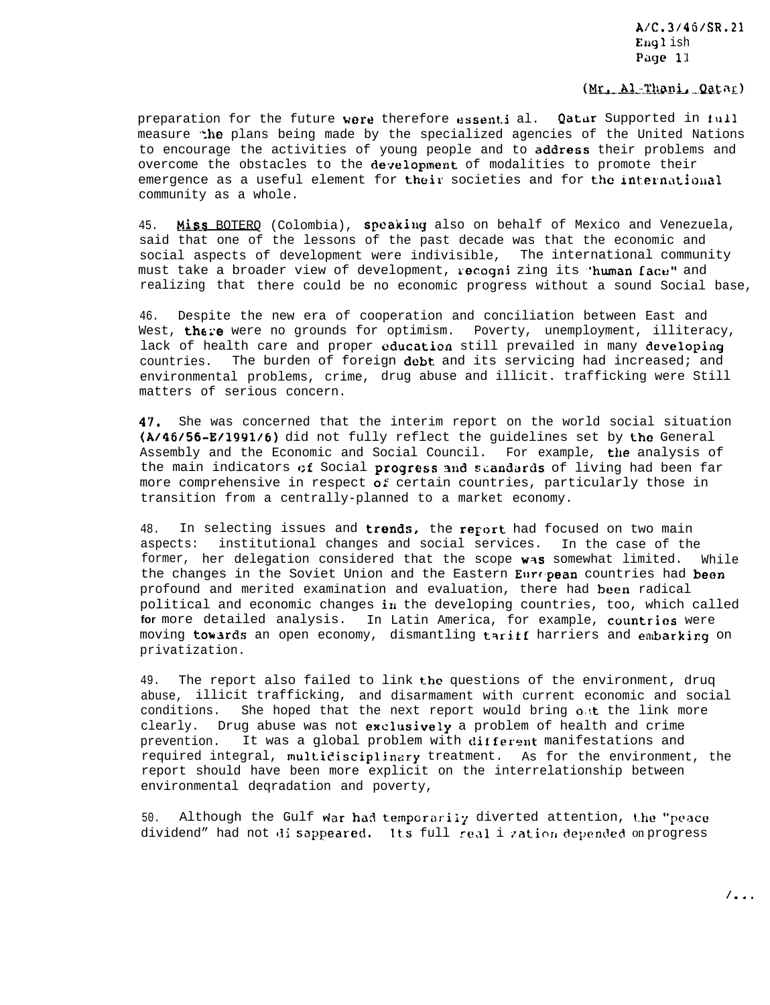# (Mr. Al-Thani, Qatar)

preparation for the future were therefore essential. Qatar Supported in 1.111 measure *the* plans being made by the specialized agencies of the United Nations to encourage the activities of young people and to address their problems and overcome the obstacles to the development of modalities to promote their emergence as a useful element for their societies and for the international community as a whole.

45. Miss BOTERO (Colombia), speaking also on behalf of Mexico and Venezuela, said that one of the lessons of the past decade was that the economic and social aspects of development were indivisible, The international community must take a broader view of development, recogni zing its 'human face" and realizing that there could be no economic progress without a sound Social base,

46. Despite the new era of cooperation and conciliation between East and West, there were no grounds for optimism. Poverty, unemployment, illiteracy, lack of health care and proper education still prevailed in many developing countries. The burden of foreign debt and its servicing had increased; and environmental problems, crime, drug abuse and illicit. trafficking were Still matters of serious concern.

47. She was concerned that the interim report on the world social situation (A/46/56-E/1991/6) did not fully reflect the guidelines set by the General Assembly and the Economic and Social Council. For example, the analysis of the main indicators of Social progress and standards of living had been far more comprehensive in respect  $\boldsymbol{o}$ : certain countries, particularly those in transition from a centrally-planned to a market economy.

48. In selecting issues and trends, the report had focused on two main aspects: institutional changes and social services. In the case of the former, her delegation considered that the scope was somewhat limited. While the changes in the Soviet Union and the Eastern European countries had been profound and merited examination and evaluation, there had been radical political and economic changes in the developing countries, too, which called **for** more detailed analysis. In Latin America, for example, countries were moving towards an open economy, dismantling tariff harriers and embarking on privatization.

49. The report also failed to link the questions of the environment, drug abuse, illicit trafficking, and disarmament with current economic and social conditions. She hoped that the next report would bring out the link more clearly. Drug abuse was not exclusively a problem of health and crime prevention. It was a global problem with different manifestations and required integral, multidisciplinary treatment. As for the environment, the report should have been more explicit on the interrelationship between environmental deqradation and poverty,

50. Although the Gulf war had temporarily diverted attention, the "peace dividend" had not disappeared. Its full real i zation depended on progress